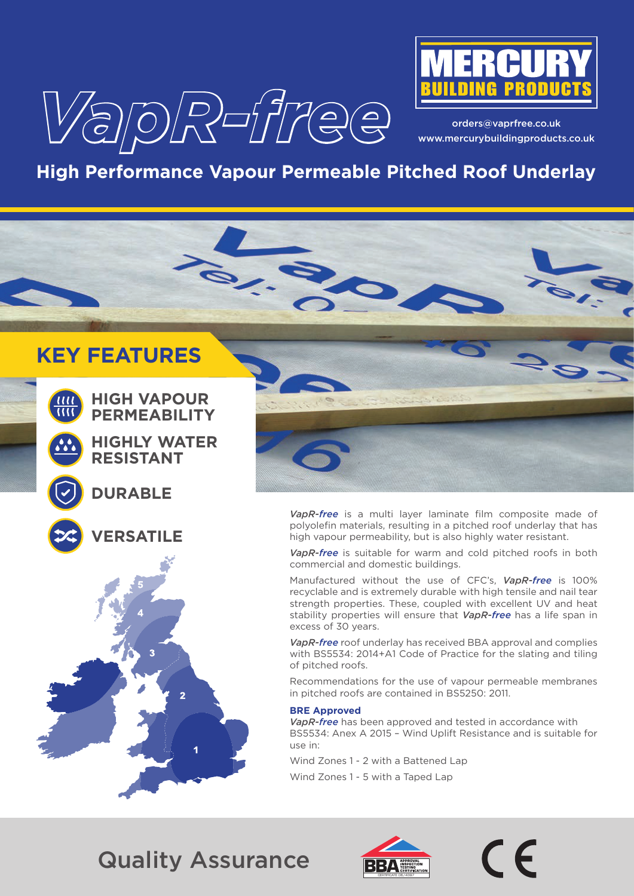



orders@vaprfree.co.uk www.mercurybuildingproducts.co.uk

# **High Performance Vapour Permeable Pitched Roof Underlay**

# **KEY FEATURES**



**HIGH VAPOUR PERMEABILITY**

**HIGHLY WATER RESISTANT**





**VERSATILE**



*VapR-free* is a multi layer laminate film composite made of polyolefin materials, resulting in a pitched roof underlay that has high vapour permeability, but is also highly water resistant.

*VapR-free* is suitable for warm and cold pitched roofs in both commercial and domestic buildings.

Manufactured without the use of CFC's, *VapR-free* is 100% recyclable and is extremely durable with high tensile and nail tear strength properties. These, coupled with excellent UV and heat stability properties will ensure that *VapR-free* has a life span in excess of 30 years.

*VapR-free* roof underlay has received BBA approval and complies with BS5534: 2014+A1 Code of Practice for the slating and tiling of pitched roofs.

Recommendations for the use of vapour permeable membranes in pitched roofs are contained in BS5250: 2011.

#### **BRE Approved**

*VapR-free* has been approved and tested in accordance with BS5534: Anex A 2015 – Wind Uplift Resistance and is suitable for use in:

Wind Zones 1 - 2 with a Battened Lap

Wind Zones 1 - 5 with a Taped Lap

Quality Assurance